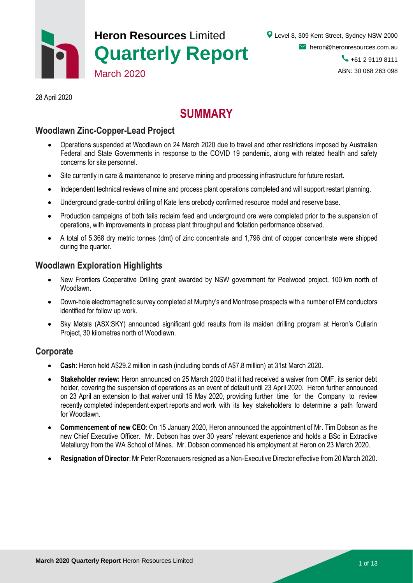

28 April 2020

# **SUMMARY**

## **Woodlawn Zinc-Copper-Lead Project**

- Operations suspended at Woodlawn on 24 March 2020 due to travel and other restrictions imposed by Australian Federal and State Governments in response to the COVID 19 pandemic, along with related health and safety concerns for site personnel.
- Site currently in care & maintenance to preserve mining and processing infrastructure for future restart.
- Independent technical reviews of mine and process plant operations completed and will support restart planning.
- Underground grade-control drilling of Kate lens orebody confirmed resource model and reserve base.
- Production campaigns of both tails reclaim feed and underground ore were completed prior to the suspension of operations, with improvements in process plant throughput and flotation performance observed.
- A total of 5,368 dry metric tonnes (dmt) of zinc concentrate and 1,796 dmt of copper concentrate were shipped during the quarter.

### **Woodlawn Exploration Highlights**

- New Frontiers Cooperative Drilling grant awarded by NSW government for Peelwood project, 100 km north of Woodlawn.
- Down-hole electromagnetic survey completed at Murphy's and Montrose prospects with a number of EM conductors identified for follow up work.
- Sky Metals (ASX:SKY) announced significant gold results from its maiden drilling program at Heron's Cullarin Project, 30 kilometres north of Woodlawn.

#### **Corporate**

- **Cash**: Heron held A\$29.2 million in cash (including bonds of A\$7.8 million) at 31st March 2020.
- **Stakeholder review:** Heron announced on 25 March 2020 that it had received a waiver from OMF, its senior debt holder, covering the suspension of operations as an event of default until 23 April 2020. Heron further announced on 23 April an extension to that waiver until 15 May 2020, providing further time for the Company to review recently completed independent expert reports and work with its key stakeholders to determine a path forward for Woodlawn.
- **Commencement of new CEO**: On 15 January 2020, Heron announced the appointment of Mr. Tim Dobson as the new Chief Executive Officer. Mr. Dobson has over 30 years' relevant experience and holds a BSc in Extractive Metallurgy from the WA School of Mines. Mr. Dobson commenced his employment at Heron on 23 March 2020.
- **Resignation of Director**:Mr Peter Rozenauers resigned as a Non-Executive Director effective from 20 March 2020.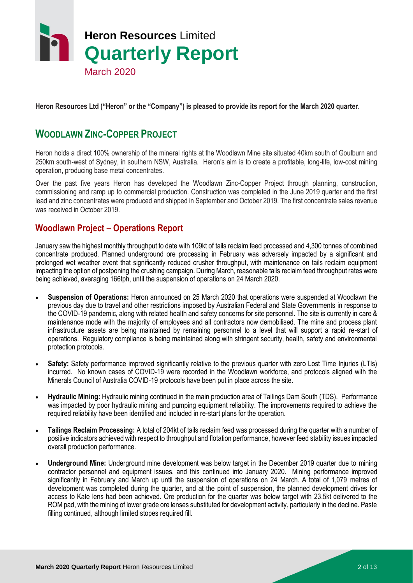

**Heron Resources Ltd ("Heron" or the "Company") is pleased to provide its report for the March 2020 quarter.**

# **WOODLAWN ZINC-COPPER PROJECT**

Heron holds a direct 100% ownership of the mineral rights at the Woodlawn Mine site situated 40km south of Goulburn and 250km south-west of Sydney, in southern NSW, Australia. Heron's aim is to create a profitable, long-life, low-cost mining operation, producing base metal concentrates.

Over the past five years Heron has developed the Woodlawn Zinc-Copper Project through planning, construction, commissioning and ramp up to commercial production. Construction was completed in the June 2019 quarter and the first lead and zinc concentrates were produced and shipped in September and October 2019. The first concentrate sales revenue was received in October 2019.

## **Woodlawn Project – Operations Report**

January saw the highest monthly throughput to date with 109kt of tails reclaim feed processed and 4,300 tonnes of combined concentrate produced. Planned underground ore processing in February was adversely impacted by a significant and prolonged wet weather event that significantly reduced crusher throughput, with maintenance on tails reclaim equipment impacting the option of postponing the crushing campaign. During March, reasonable tails reclaim feed throughput rates were being achieved, averaging 166tph, until the suspension of operations on 24 March 2020.

- **Suspension of Operations:** Heron announced on 25 March 2020 that operations were suspended at Woodlawn the previous day due to travel and other restrictions imposed by Australian Federal and State Governments in response to the COVID-19 pandemic, along with related health and safety concerns for site personnel. The site is currently in care & maintenance mode with the majority of employees and all contractors now demobilised. The mine and process plant infrastructure assets are being maintained by remaining personnel to a level that will support a rapid re-start of operations. Regulatory compliance is being maintained along with stringent security, health, safety and environmental protection protocols.
- **Safety:** Safety performance improved significantly relative to the previous quarter with zero Lost Time Injuries (LTIs) incurred. No known cases of COVID-19 were recorded in the Woodlawn workforce, and protocols aligned with the Minerals Council of Australia COVID-19 protocols have been put in place across the site.
- **Hydraulic Mining:** Hydraulic mining continued in the main production area of Tailings Dam South (TDS). Performance was impacted by poor hydraulic mining and pumping equipment reliability. The improvements required to achieve the required reliability have been identified and included in re-start plans for the operation.
- **Tailings Reclaim Processing:** A total of 204kt of tails reclaim feed was processed during the quarter with a number of positive indicators achieved with respect to throughput and flotation performance, however feed stability issues impacted overall production performance.
- **Underground Mine:** Underground mine development was below target in the December 2019 quarter due to mining contractor personnel and equipment issues, and this continued into January 2020. Mining performance improved significantly in February and March up until the suspension of operations on 24 March. A total of 1,079 metres of development was completed during the quarter, and at the point of suspension, the planned development drives for access to Kate lens had been achieved. Ore production for the quarter was below target with 23.5kt delivered to the ROM pad, with the mining of lower grade ore lenses substituted for development activity, particularly in the decline. Paste filling continued, although limited stopes required fill.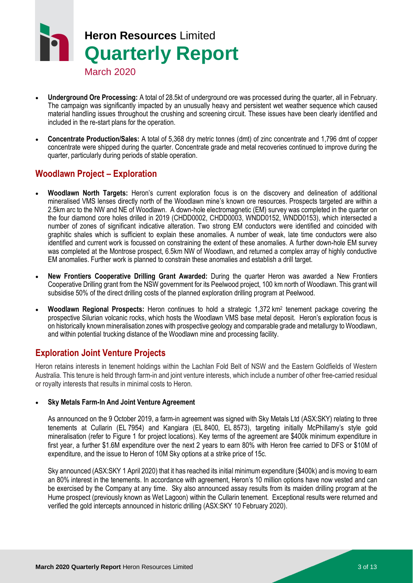# **Heron Resources** Limited **Quarterly Report**

- March 2020
- **Underground Ore Processing:** A total of 28.5kt of underground ore was processed during the quarter, all in February. The campaign was significantly impacted by an unusually heavy and persistent wet weather sequence which caused material handling issues throughout the crushing and screening circuit. These issues have been clearly identified and included in the re-start plans for the operation.
- **Concentrate Production/Sales:** A total of 5,368 dry metric tonnes (dmt) of zinc concentrate and 1,796 dmt of copper concentrate were shipped during the quarter. Concentrate grade and metal recoveries continued to improve during the quarter, particularly during periods of stable operation.

# **Woodlawn Project – Exploration**

- **Woodlawn North Targets:** Heron's current exploration focus is on the discovery and delineation of additional mineralised VMS lenses directly north of the Woodlawn mine's known ore resources. Prospects targeted are within a 2.5km arc to the NW and NE of Woodlawn. A down-hole electromagnetic (EM) survey was completed in the quarter on the four diamond core holes drilled in 2019 (CHDD0002, CHDD0003, WNDD0152, WNDD0153), which intersected a number of zones of significant indicative alteration. Two strong EM conductors were identified and coincided with graphitic shales which is sufficient to explain these anomalies. A number of weak, late time conductors were also identified and current work is focussed on constraining the extent of these anomalies. A further down-hole EM survey was completed at the Montrose prospect, 6.5km NW of Woodlawn, and returned a complex array of highly conductive EM anomalies. Further work is planned to constrain these anomalies and establish a drill target.
- **New Frontiers Cooperative Drilling Grant Awarded:** During the quarter Heron was awarded a New Frontiers Cooperative Drilling grant from the NSW government for its Peelwood project, 100 km north of Woodlawn. This grant will subsidise 50% of the direct drilling costs of the planned exploration drilling program at Peelwood.
- Woodlawn Regional Prospects: Heron continues to hold a strategic 1,372 km<sup>2</sup> tenement package covering the prospective Silurian volcanic rocks, which hosts the Woodlawn VMS base metal deposit. Heron's exploration focus is on historically known mineralisation zones with prospective geology and comparable grade and metallurgy to Woodlawn, and within potential trucking distance of the Woodlawn mine and processing facility.

# **Exploration Joint Venture Projects**

Heron retains interests in tenement holdings within the Lachlan Fold Belt of NSW and the Eastern Goldfields of Western Australia. This tenure is held through farm-in and joint venture interests, which include a number of other free-carried residual or royalty interests that results in minimal costs to Heron.

#### **Sky Metals Farm-In And Joint Venture Agreement**

As announced on the 9 October 2019, a farm-in agreement was signed with Sky Metals Ltd (ASX:SKY) relating to three tenements at Cullarin (EL 7954) and Kangiara (EL 8400, EL 8573), targeting initially McPhillamy's style gold mineralisation (refer to Figure 1 for project locations). Key terms of the agreement are \$400k minimum expenditure in first year, a further \$1.6M expenditure over the next 2 years to earn 80% with Heron free carried to DFS or \$10M of expenditure, and the issue to Heron of 10M Sky options at a strike price of 15c.

Sky announced (ASX:SKY 1 April 2020) that it has reached its initial minimum expenditure (\$400k) and is moving to earn an 80% interest in the tenements. In accordance with agreement, Heron's 10 million options have now vested and can be exercised by the Company at any time. Sky also announced assay results from its maiden drilling program at the Hume prospect (previously known as Wet Lagoon) within the Cullarin tenement. Exceptional results were returned and verified the gold intercepts announced in historic drilling (ASX:SKY 10 February 2020).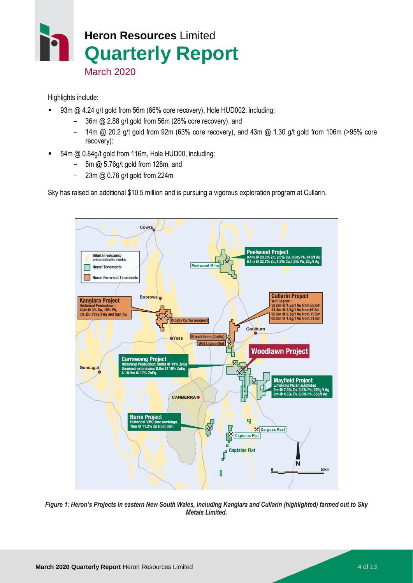

Highlights include:

- 93m @ 4.24 g/t gold from 56m (66% core recovery), Hole HUD002: including:
	- 36m @ 2.88 g/t gold from 56m (28% core recovery), and
	- 14m @ 20.2 g/t gold from 92m (63% core recovery), and 43m @ 1.30 g/t gold from 106m (>95% core recovery):
- 54m @ 0.84g/t gold from 116m, Hole HUD00, including:
	- $-$  5m @ 5.76g/t gold from 128m, and
	- $-$  23m @ 0.76 g/t gold from 224m

Sky has raised an additional \$10.5 million and is pursuing a vigorous exploration program at Cullarin.



*Figure 1: Heron's Projects in eastern New South Wales, including Kangiara and Cullarin (highlighted) farmed out to Sky Metals Limited.*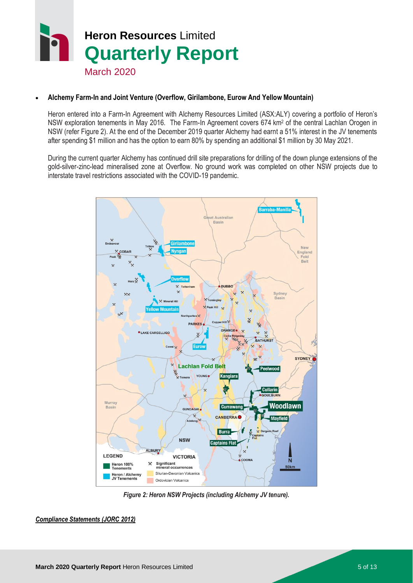# **Heron Resources** Limited **Quarterly Report** March 2020

#### **Alchemy Farm-In and Joint Venture (Overflow, Girilambone, Eurow And Yellow Mountain)**

Heron entered into a Farm-In Agreement with Alchemy Resources Limited (ASX:ALY) covering a portfolio of Heron's NSW exploration tenements in May 2016. The Farm-In Agreement covers 674 km<sup>2</sup> of the central Lachlan Orogen in NSW (refer Figure 2). At the end of the December 2019 quarter Alchemy had earnt a 51% interest in the JV tenements after spending \$1 million and has the option to earn 80% by spending an additional \$1 million by 30 May 2021.

During the current quarter Alchemy has continued drill site preparations for drilling of the down plunge extensions of the gold-silver-zinc-lead mineralised zone at Overflow. No ground work was completed on other NSW projects due to interstate travel restrictions associated with the COVID-19 pandemic.



*Figure 2: Heron NSW Projects (including Alchemy JV tenure).*

*Compliance Statements (JORC 2012)*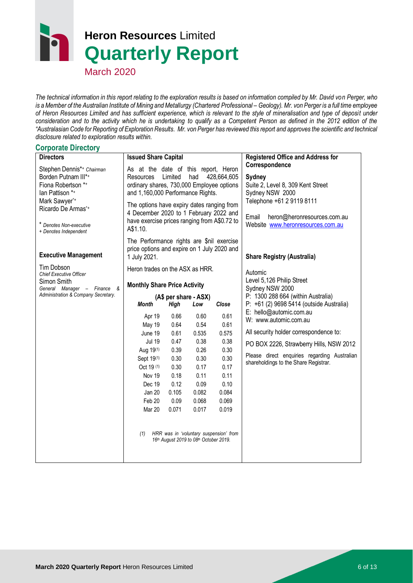# **Heron Resources** Limited **Quarterly Report**

March 2020

*The technical information in this report relating to the exploration results is based on information compiled by Mr. David von Perger, who is a Member of the Australian Institute of Mining and Metallurgy (Chartered Professional - Geology). Mr. von Perger is a full time employee of Heron Resources Limited and has sufficient experience, which is relevant to the style of mineralisation and type of deposit under consideration and to the activity which he is undertaking to qualify as a Competent Person as defined in the 2012 edition of the "Australasian Code for Reporting of Exploration Results. Mr. von Perger has reviewed this report and approves the scientific and technical disclosure related to exploration results within.*

#### **Corporate Directory**

| <b>Directors</b>                                                                                                                                                                     | <b>Issued Share Capital</b>                                                                                                                                                                                                                                                                                              |                                                                                                |                                                                                                                                            |                                                                                                                                            | <b>Registered Office and Address for</b>                                                                                                                                                                                       |
|--------------------------------------------------------------------------------------------------------------------------------------------------------------------------------------|--------------------------------------------------------------------------------------------------------------------------------------------------------------------------------------------------------------------------------------------------------------------------------------------------------------------------|------------------------------------------------------------------------------------------------|--------------------------------------------------------------------------------------------------------------------------------------------|--------------------------------------------------------------------------------------------------------------------------------------------|--------------------------------------------------------------------------------------------------------------------------------------------------------------------------------------------------------------------------------|
| Stephen Dennis*+ Chairman<br>Borden Putnam III*+<br>Fiona Robertson *+<br>lan Pattison *+<br>Mark Sawyer*+<br>Ricardo De Armas*+<br>* Denotes Non-executive<br>+ Denotes Independent | As at the date of this report, Heron<br>Limited<br>had<br>428,664,605<br>Resources<br>ordinary shares, 730,000 Employee options<br>and 1,160,000 Performance Rights.<br>The options have expiry dates ranging from<br>4 December 2020 to 1 February 2022 and<br>have exercise prices ranging from A\$0.72 to<br>A\$1.10. |                                                                                                |                                                                                                                                            |                                                                                                                                            | Correspondence<br>Sydney<br>Suite 2, Level 8, 309 Kent Street<br>Sydney NSW 2000<br>Telephone +61 2 9119 8111<br>Email<br>heron@heronresources.com.au<br>Website www.heronresources.com.au                                     |
| <b>Executive Management</b>                                                                                                                                                          | The Performance rights are \$nil exercise<br>price options and expire on 1 July 2020 and<br>1 July 2021.                                                                                                                                                                                                                 |                                                                                                |                                                                                                                                            |                                                                                                                                            | <b>Share Registry (Australia)</b>                                                                                                                                                                                              |
| <b>Tim Dobson</b><br><b>Chief Executive Officer</b><br>Simon Smith<br>General Manager - Finance &                                                                                    | Heron trades on the ASX as HRR.<br><b>Monthly Share Price Activity</b>                                                                                                                                                                                                                                                   |                                                                                                |                                                                                                                                            |                                                                                                                                            | Automic<br>Level 5,126 Philip Street<br>Sydney NSW 2000                                                                                                                                                                        |
| Administration & Company Secretary.                                                                                                                                                  |                                                                                                                                                                                                                                                                                                                          |                                                                                                | (A\$ per share - ASX)                                                                                                                      |                                                                                                                                            | P: 1300 288 664 (within Australia)                                                                                                                                                                                             |
|                                                                                                                                                                                      | Month                                                                                                                                                                                                                                                                                                                    | High                                                                                           | Low                                                                                                                                        | Close                                                                                                                                      | P: +61 (2) 9698 5414 (outside Australia)                                                                                                                                                                                       |
|                                                                                                                                                                                      | Apr 19<br>May 19<br>June 19<br><b>Jul 19</b><br>Aug 19(1)<br>Sept 19(1)<br>Oct 19 (1)<br>Nov 19<br>Dec 19<br>Jan 20<br>Feb 20<br>Mar 20<br>(1)                                                                                                                                                                           | 0.66<br>0.64<br>0.61<br>0.47<br>0.39<br>0.30<br>0.30<br>0.18<br>0.12<br>0.105<br>0.09<br>0.071 | 0.60<br>0.54<br>0.535<br>0.38<br>0.26<br>0.30<br>0.17<br>0.11<br>0.09<br>0.082<br>0.068<br>0.017<br>16th August 2019 to 08th October 2019. | 0.61<br>0.61<br>0.575<br>0.38<br>0.30<br>0.30<br>0.17<br>0.11<br>0.10<br>0.084<br>0.069<br>0.019<br>HRR was in 'voluntary suspension' from | E: hello@automic.com.au<br>W: www.automic.com.au<br>All security holder correspondence to:<br>PO BOX 2226, Strawberry Hills, NSW 2012<br>Please direct enquiries regarding Australian<br>shareholdings to the Share Registrar. |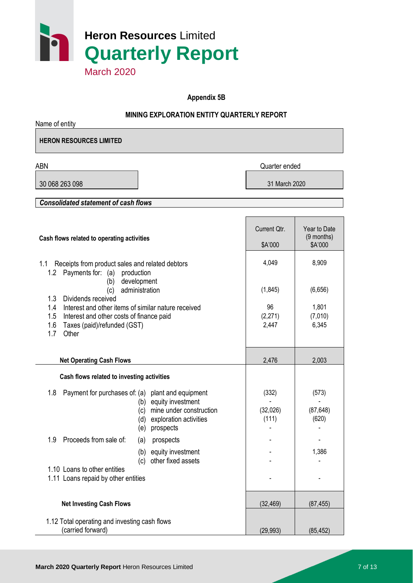

**Appendix 5B**

#### **MINING EXPLORATION ENTITY QUARTERLY REPORT**

Name of entity **HERON RESOURCES LIMITED**

ABN Quarter ended

30 068 263 098 31 March 2020

*Consolidated statement of cash flows*

| Cash flows related to operating activities                                                                                                                                                       | Current Qtr.<br>\$A'000    | Year to Date<br>(9 months)<br>\$A'000 |
|--------------------------------------------------------------------------------------------------------------------------------------------------------------------------------------------------|----------------------------|---------------------------------------|
| Receipts from product sales and related debtors<br>1.1<br>Payments for: (a)<br>production<br>1.2                                                                                                 | 4,049                      | 8,909                                 |
| development<br>(b)<br>administration<br>(c)                                                                                                                                                      | (1,845)                    | (6,656)                               |
| 1.3<br>Dividends received<br>1.4<br>Interest and other items of similar nature received<br>1.5<br>Interest and other costs of finance paid<br>1.6<br>Taxes (paid)/refunded (GST)<br>1.7<br>Other | 96<br>(2, 271)<br>2,447    | 1,801<br>(7,010)<br>6,345             |
| <b>Net Operating Cash Flows</b>                                                                                                                                                                  | 2,476                      | 2,003                                 |
| Cash flows related to investing activities                                                                                                                                                       |                            |                                       |
| Payment for purchases of: (a)<br>1.8<br>plant and equipment<br>equity investment<br>(b)<br>mine under construction<br>(c)<br>exploration activities<br>(d)<br>prospects<br>(e)                   | (332)<br>(32,026)<br>(111) | (573)<br>(87, 648)<br>(620)           |
| Proceeds from sale of:<br>1.9<br>prospects<br>(a)                                                                                                                                                |                            |                                       |
| equity investment<br>(b)<br>other fixed assets<br>(c)                                                                                                                                            |                            | 1,386                                 |
| 1.10 Loans to other entities<br>1.11 Loans repaid by other entities                                                                                                                              |                            |                                       |
|                                                                                                                                                                                                  |                            |                                       |
| <b>Net Investing Cash Flows</b>                                                                                                                                                                  | (32, 469)                  | (87, 455)                             |
| 1.12 Total operating and investing cash flows<br>(carried forward)                                                                                                                               | (29, 993)                  | (85, 452)                             |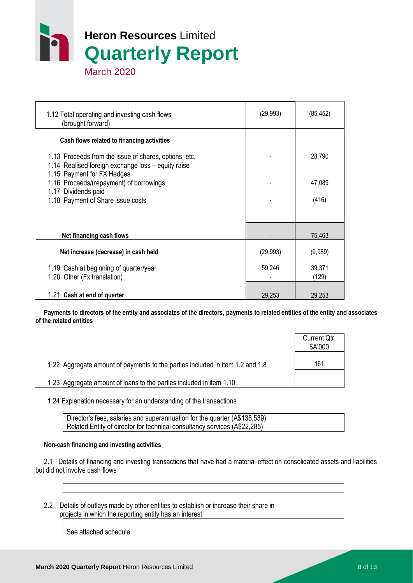

| 1.12 Total operating and investing cash flows<br>(brought forward)                                          | (29, 993) | (85, 452)       |
|-------------------------------------------------------------------------------------------------------------|-----------|-----------------|
| Cash flows related to financing activities                                                                  |           |                 |
| 1.13 Proceeds from the issue of shares, options, etc.<br>1.14 Realised foreign exchange loss - equity raise |           | 28,790          |
| 1.15 Payment for FX Hedges<br>1.16 Proceeds/(repayment) of borrowings                                       |           | 47,089          |
| 1.17 Dividends paid<br>1.18 Payment of Share issue costs                                                    |           | (416)           |
|                                                                                                             |           |                 |
| Net financing cash flows                                                                                    |           | 75,463          |
| Net increase (decrease) in cash held                                                                        | (29, 993) | (9,989)         |
| 1.19 Cash at beginning of quarter/year<br>1.20 Other (Fx translation)                                       | 59,246    | 39,371<br>(129) |
| 1.21 Cash at end of quarter                                                                                 | 29,253    | 29,253          |

 **Payments to directors of the entity and associates of the directors, payments to related entities of the entity and associates of the related entities**

|                                                                               | Current Qtr.<br>\$A'000 |
|-------------------------------------------------------------------------------|-------------------------|
| 1.22 Aggregate amount of payments to the parties included in item 1.2 and 1.8 | 161                     |
| 1.23 Aggregate amount of loans to the parties included in item 1.10           |                         |

1.24 Explanation necessary for an understanding of the transactions

Director's fees, salaries and superannuation for the quarter (A\$138,539) Related Entity of director for technical consultancy services (A\$22,285)

#### **Non-cash financing and investing activities**

 2.1 Details of financing and investing transactions that have had a material effect on consolidated assets and liabilities but did not involve cash flows

 2.2 Details of outlays made by other entities to establish or increase their share in projects in which the reporting entity has an interest

See attached schedule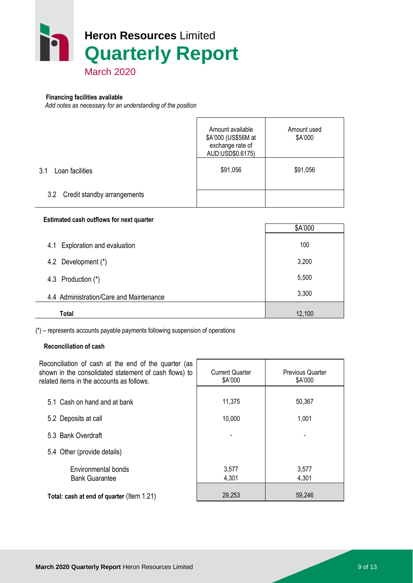

#### **Financing facilities available**

*Add notes as necessary for an understanding of the position*

|                                 | Amount available<br>\$A'000 (US\$56M at<br>exchange rate of<br>AUD:USD\$0.6175) | Amount used<br>\$A'000 |
|---------------------------------|---------------------------------------------------------------------------------|------------------------|
| 3.1<br>Loan facilities          | \$91,056                                                                        | \$91,056               |
| 3.2 Credit standby arrangements |                                                                                 |                        |

#### **Estimated cash outflows for next quarter**

|                                         | \$A'000 |
|-----------------------------------------|---------|
| Exploration and evaluation<br>4.1       | 100     |
| 4.2 Development (*)                     | 3,200   |
| 4.3 Production (*)                      | 5,500   |
| 4.4 Administration/Care and Maintenance | 3,300   |
| Total                                   | 12,100  |

(\*) – represents accounts payable payments following suspension of operations

#### **Reconciliation of cash**

| Reconciliation of cash at the end of the quarter (as<br>shown in the consolidated statement of cash flows) to<br>related items in the accounts as follows. | <b>Current Quarter</b><br>\$A'000 | <b>Previous Quarter</b><br>\$A'000 |  |
|------------------------------------------------------------------------------------------------------------------------------------------------------------|-----------------------------------|------------------------------------|--|
|                                                                                                                                                            |                                   |                                    |  |
| 5.1 Cash on hand and at bank                                                                                                                               | 11,375                            | 50,367                             |  |
| 5.2 Deposits at call                                                                                                                                       | 10,000                            | 1,001                              |  |
| 5.3 Bank Overdraft                                                                                                                                         |                                   |                                    |  |
| 5.4 Other (provide details)                                                                                                                                |                                   |                                    |  |
| Environmental bonds                                                                                                                                        | 3.577                             | 3,577                              |  |
| <b>Bank Guarantee</b>                                                                                                                                      | 4,301                             | 4,301                              |  |
| Total: cash at end of quarter (Item 1.21)                                                                                                                  | 29,253                            | 59,246                             |  |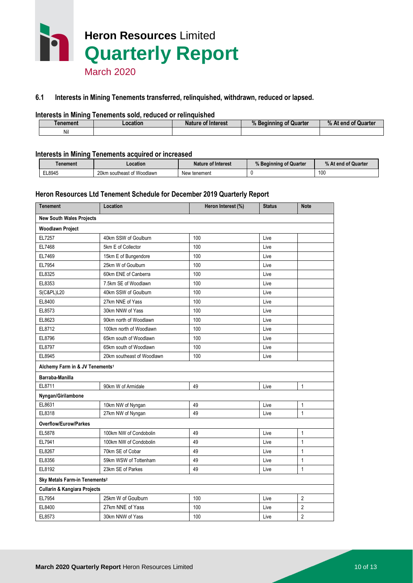

#### **6.1 Interests in Mining Tenements transferred, relinquished, withdrawn, reduced or lapsed.**

#### **Interests in Mining Tenements sold, reduced or relinquished**

| enement | -ocation | <sup>:</sup> Interest<br>Nature of | $\mathbf{u}$<br>Quarter<br>Beainning<br>"<br>w | % At end<br>of Quarter |
|---------|----------|------------------------------------|------------------------------------------------|------------------------|
| Nil     |          |                                    |                                                |                        |

#### **Interests in Mining Tenements acquired or increased**

| Tenement | .ocation                   | <b>Nature of Interest</b> | % Beginning of Quarter | % At end of Quarter |
|----------|----------------------------|---------------------------|------------------------|---------------------|
| EL8945   | 20km southeast of Woodlawn | New tenement              |                        | 100                 |

#### **Heron Resources Ltd Tenement Schedule for December 2019 Quarterly Report**

| <b>Tenement</b>                             | Location                   | Heron Interest (%) | <b>Status</b> | <b>Note</b>    |
|---------------------------------------------|----------------------------|--------------------|---------------|----------------|
| <b>New South Wales Projects</b>             |                            |                    |               |                |
| <b>Woodlawn Project</b>                     |                            |                    |               |                |
| EL7257                                      | 40km SSW of Goulburn       | 100                | Live          |                |
| EL7468                                      | 5km E of Collector         | 100                | Live          |                |
| EL7469                                      | 15km E of Bungendore       | 100                | Live          |                |
| EL7954                                      | 25km W of Goulburn         | 100                | Live          |                |
| EL8325                                      | 60km ENE of Canberra       | 100                | Live          |                |
| EL8353                                      | 7.5km SE of Woodlawn       | 100                | Live          |                |
| <b>S(C&amp;PL)L20</b>                       | 40km SSW of Goulburn       | 100                | Live          |                |
| EL8400                                      | 27km NNE of Yass           | 100                | Live          |                |
| EL8573                                      | 30km NNW of Yass           | 100                | Live          |                |
| EL8623                                      | 90km north of Woodlawn     | 100                | Live          |                |
| EL8712                                      | 100km north of Woodlawn    | 100                | Live          |                |
| EL8796                                      | 65km south of Woodlawn     | 100                | Live          |                |
| EL8797                                      | 65km south of Woodlawn     | 100                | Live          |                |
| EL8945                                      | 20km southeast of Woodlawn | 100                | Live          |                |
| Alchemy Farm in & JV Tenements <sup>1</sup> |                            |                    |               |                |
| Barraba-Manilla                             |                            |                    |               |                |
| EL8711                                      | 90km W of Armidale         | 49                 | Live          | $\mathbf{1}$   |
| Nyngan/Girilambone                          |                            |                    |               |                |
| EL8631                                      | 10km NW of Nyngan          | 49                 | Live          | $\mathbf{1}$   |
| EL8318                                      | 27km NW of Nyngan          | 49                 | Live          | $\mathbf{1}$   |
| <b>Overflow/Eurow/Parkes</b>                |                            |                    |               |                |
| EL5878                                      | 100km NW of Condobolin     | 49                 | Live          | $\mathbf{1}$   |
| EL7941                                      | 100km NW of Condobolin     | 49                 | Live          | $\mathbf{1}$   |
| EL8267                                      | 70km SE of Cobar           | 49                 | Live          | $\mathbf{1}$   |
| EL8356                                      | 59km WSW of Tottenham      | 49                 | Live          | $\mathbf{1}$   |
| EL8192                                      | 23km SE of Parkes          | 49                 | Live          | $\mathbf{1}$   |
| Sky Metals Farm-in Tenements <sup>2</sup>   |                            |                    |               |                |
| <b>Cullarin &amp; Kangiara Projects</b>     |                            |                    |               |                |
| EL7954                                      | 25km W of Goulburn         | 100                | Live          | 2              |
| EL8400                                      | 27km NNE of Yass           | 100                | Live          | $\overline{2}$ |
| EL8573                                      | 30km NNW of Yass           | 100                | Live          | $\overline{2}$ |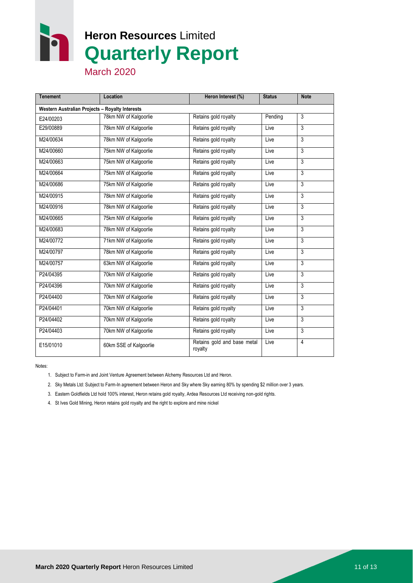r

# **Heron Resources** Limited **Quarterly Report**

March 2020

| <b>Tenement</b>                                 | Location               | Heron Interest (%)                     | <b>Status</b> | <b>Note</b>    |
|-------------------------------------------------|------------------------|----------------------------------------|---------------|----------------|
| Western Australian Projects - Royalty Interests |                        |                                        |               |                |
| E24/00203                                       | 78km NW of Kalgoorlie  | Retains gold royalty                   | Pending       | $\overline{3}$ |
| E29/00889                                       | 78km NW of Kalgoorlie  | Retains gold royalty                   | Live          | 3              |
| M24/00634                                       | 78km NW of Kalgoorlie  | Retains gold royalty                   | Live          | $\overline{3}$ |
| M24/00660                                       | 75km NW of Kalgoorlie  | Retains gold royalty                   | Live          | 3              |
| M24/00663                                       | 75km NW of Kalgoorlie  | Retains gold royalty                   | Live          | 3              |
| M24/00664                                       | 75km NW of Kalgoorlie  | Retains gold royalty                   | Live          | $\overline{3}$ |
| M24/00686                                       | 75km NW of Kalgoorlie  | Retains gold royalty                   | Live          | 3              |
| M24/00915                                       | 78km NW of Kalgoorlie  | Retains gold royalty                   | Live          | 3              |
| M24/00916                                       | 78km NW of Kalgoorlie  | Retains gold royalty                   | Live          | $\overline{3}$ |
| M24/00665                                       | 75km NW of Kalgoorlie  | Retains gold royalty                   | Live          | 3              |
| M24/00683                                       | 78km NW of Kalgoorlie  | Retains gold royalty                   | Live          | $\overline{3}$ |
| M24/00772                                       | 71km NW of Kalgoorlie  | Retains gold royalty                   | Live          | $\overline{3}$ |
| M24/00797                                       | 78km NW of Kalgoorlie  | Retains gold royalty                   | Live          | 3              |
| M24/00757                                       | 63km NW of Kalgoorlie  | Retains gold royalty                   | Live          | $\overline{3}$ |
| P24/04395                                       | 70km NW of Kalgoorlie  | Retains gold royalty                   | Live          | 3              |
| P24/04396                                       | 70km NW of Kalgoorlie  | Retains gold royalty                   | Live          | 3              |
| P24/04400                                       | 70km NW of Kalgoorlie  | Retains gold royalty                   | Live          | $\overline{3}$ |
| P24/04401                                       | 70km NW of Kalgoorlie  | Retains gold royalty                   | Live          | 3              |
| P24/04402                                       | 70km NW of Kalgoorlie  | Retains gold royalty                   | Live          | 3              |
| P24/04403                                       | 70km NW of Kalgoorlie  | Retains gold royalty                   | Live          | $\overline{3}$ |
| E15/01010                                       | 60km SSE of Kalgoorlie | Retains gold and base metal<br>royalty | Live          | $\overline{4}$ |

Notes:

- 1. Subject to Farm-in and Joint Venture Agreement between Alchemy Resources Ltd and Heron.
- 2. Sky Metals Ltd: Subject to Farm-In agreement between Heron and Sky where Sky earning 80% by spending \$2 million over 3 years.
- 3. Eastern Goldfields Ltd hold 100% interest, Heron retains gold royalty, Ardea Resources Ltd receiving non-gold rights.
- 4. St Ives Gold Mining, Heron retains gold royalty and the right to explore and mine nickel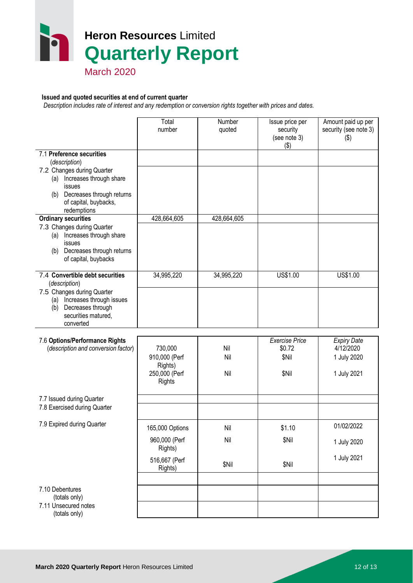

## March 2020

#### **Issued and quoted securities at end of current quarter**

 *Description includes rate of interest and any redemption or conversion rights together with prices and dates.*

|                                                                                                                                                                                   | Total<br>number                                                         | Number<br>quoted    | Issue price per<br>security<br>(see note 3)       | Amount paid up per<br>security (see note 3)<br>$(\$)$         |
|-----------------------------------------------------------------------------------------------------------------------------------------------------------------------------------|-------------------------------------------------------------------------|---------------------|---------------------------------------------------|---------------------------------------------------------------|
| 7.1 Preference securities<br>(description)                                                                                                                                        |                                                                         |                     | $($ \$)                                           |                                                               |
| 7.2 Changes during Quarter<br>Increases through share<br>(a)<br>issues<br>(b) Decreases through returns<br>of capital, buybacks,<br>redemptions                                   |                                                                         |                     |                                                   |                                                               |
| <b>Ordinary securities</b><br>7.3 Changes during Quarter<br>Increases through share<br>(a)<br>issues<br>Decreases through returns<br>(b)<br>of capital, buybacks                  | 428,664,605                                                             | 428,664,605         |                                                   |                                                               |
| 7.4 Convertible debt securities<br>(description)<br>7.5 Changes during Quarter<br>Increases through issues<br>(a)<br>Decreases through<br>(b)<br>securities matured,<br>converted | 34,995,220                                                              | 34,995,220          | US\$1.00                                          | US\$1.00                                                      |
| 7.6 Options/Performance Rights<br>(description and conversion factor)                                                                                                             | 730,000<br>910,000 (Perf<br>Rights)<br>250,000 (Perf<br><b>Rights</b>   | Nil<br>Nil<br>Nil   | <b>Exercise Price</b><br>\$0.72<br>\$Nil<br>\$Nil | <b>Expiry Date</b><br>4/12/2020<br>1 July 2020<br>1 July 2021 |
| 7.7 Issued during Quarter<br>7.8 Exercised during Quarter                                                                                                                         |                                                                         |                     |                                                   |                                                               |
| 7.9 Expired during Quarter                                                                                                                                                        | 165,000 Options<br>960,000 (Perf<br>Rights)<br>516,667 (Perf<br>Rights) | Nil<br>Nil<br>\$Nil | \$1.10<br>\$Nil<br>\$Nil                          | 01/02/2022<br>1 July 2020<br>1 July 2021                      |
| 7.10 Debentures<br>(totals only)<br>7.11 Unsecured notes<br>(totals only)                                                                                                         |                                                                         |                     |                                                   |                                                               |